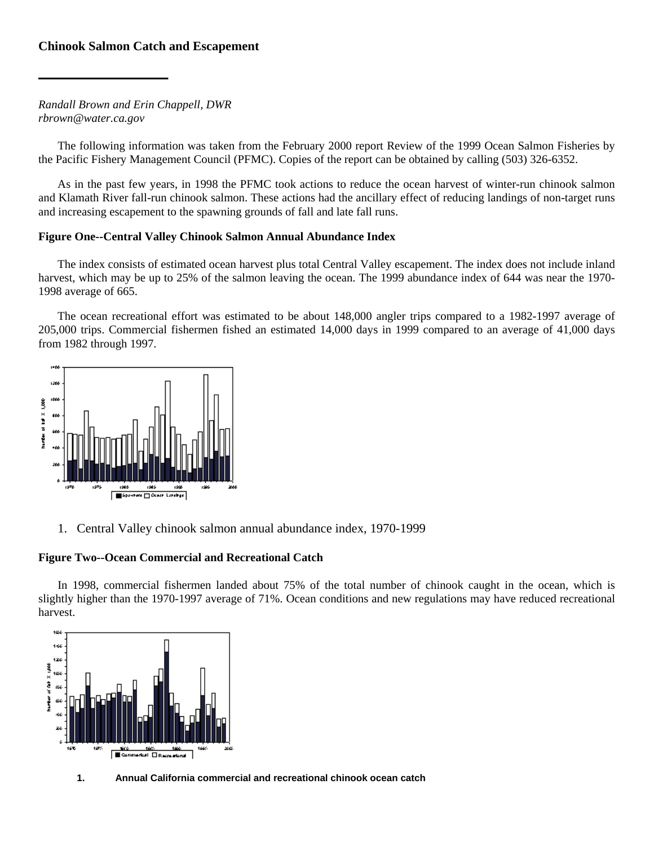# **Chinook Salmon Catch and Escapement**

*Randall Brown and Erin Chappell, DWR rbrown@water.ca.gov* 

The following information was taken from the February 2000 report Review of the 1999 Ocean Salmon Fisheries by the Pacific Fishery Management Council (PFMC). Copies of the report can be obtained by calling (503) 326-6352.

As in the past few years, in 1998 the PFMC took actions to reduce the ocean harvest of winter-run chinook salmon and Klamath River fall-run chinook salmon. These actions had the ancillary effect of reducing landings of non-target runs and increasing escapement to the spawning grounds of fall and late fall runs.

### **Figure One--Central Valley Chinook Salmon Annual Abundance Index**

The index consists of estimated ocean harvest plus total Central Valley escapement. The index does not include inland harvest, which may be up to 25% of the salmon leaving the ocean. The 1999 abundance index of 644 was near the 1970- 1998 average of 665.

The ocean recreational effort was estimated to be about 148,000 angler trips compared to a 1982-1997 average of 205,000 trips. Commercial fishermen fished an estimated 14,000 days in 1999 compared to an average of 41,000 days from 1982 through 1997.



1. Central Valley chinook salmon annual abundance index, 1970-1999

## **Figure Two--Ocean Commercial and Recreational Catch**

In 1998, commercial fishermen landed about 75% of the total number of chinook caught in the ocean, which is slightly higher than the 1970-1997 average of 71%. Ocean conditions and new regulations may have reduced recreational harvest.



**1. Annual California commercial and recreational chinook ocean catch**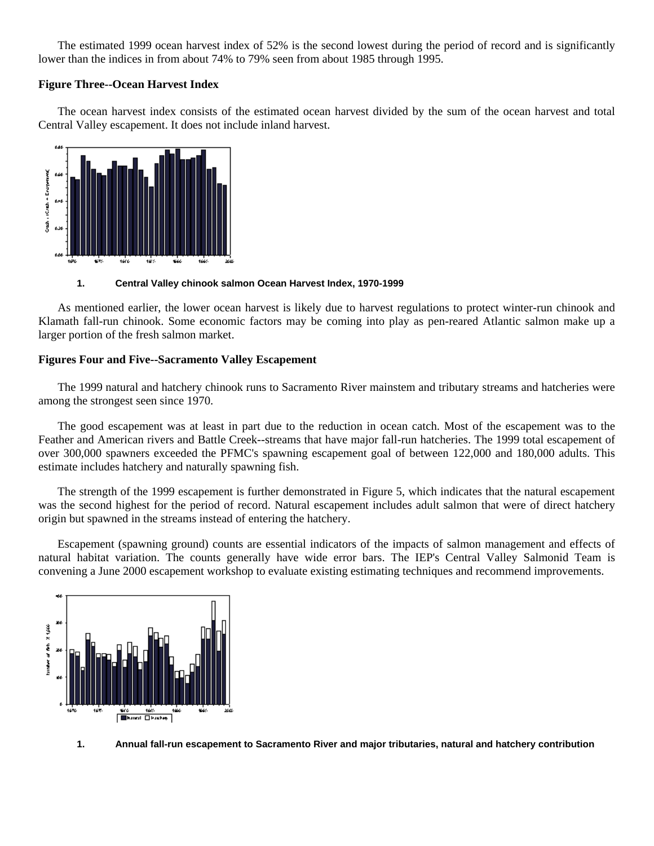The estimated 1999 ocean harvest index of 52% is the second lowest during the period of record and is significantly lower than the indices in from about 74% to 79% seen from about 1985 through 1995.

### **Figure Three--Ocean Harvest Index**

The ocean harvest index consists of the estimated ocean harvest divided by the sum of the ocean harvest and total Central Valley escapement. It does not include inland harvest.



#### **1. Central Valley chinook salmon Ocean Harvest Index, 1970-1999**

As mentioned earlier, the lower ocean harvest is likely due to harvest regulations to protect winter-run chinook and Klamath fall-run chinook. Some economic factors may be coming into play as pen-reared Atlantic salmon make up a larger portion of the fresh salmon market.

# **Figures Four and Five--Sacramento Valley Escapement**

The 1999 natural and hatchery chinook runs to Sacramento River mainstem and tributary streams and hatcheries were among the strongest seen since 1970.

The good escapement was at least in part due to the reduction in ocean catch. Most of the escapement was to the Feather and American rivers and Battle Creek--streams that have major fall-run hatcheries. The 1999 total escapement of over 300,000 spawners exceeded the PFMC's spawning escapement goal of between 122,000 and 180,000 adults. This estimate includes hatchery and naturally spawning fish.

The strength of the 1999 escapement is further demonstrated in Figure 5, which indicates that the natural escapement was the second highest for the period of record. Natural escapement includes adult salmon that were of direct hatchery origin but spawned in the streams instead of entering the hatchery.

Escapement (spawning ground) counts are essential indicators of the impacts of salmon management and effects of natural habitat variation. The counts generally have wide error bars. The IEP's Central Valley Salmonid Team is convening a June 2000 escapement workshop to evaluate existing estimating techniques and recommend improvements.



**1. Annual fall-run escapement to Sacramento River and major tributaries, natural and hatchery contribution**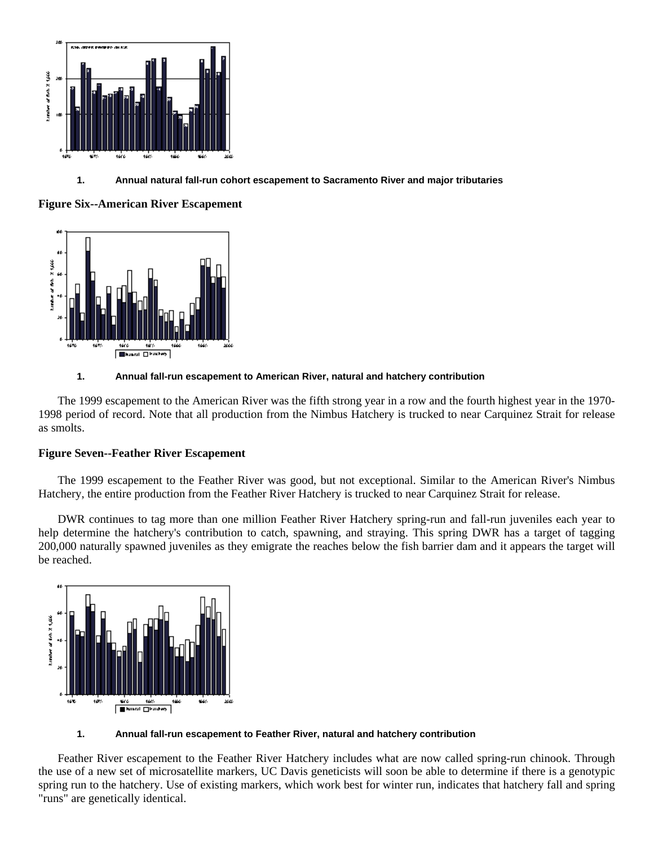

# **1. Annual natural fall-run cohort escapement to Sacramento River and major tributaries**

# **Figure Six--American River Escapement**



### **1. Annual fall-run escapement to American River, natural and hatchery contribution**

The 1999 escapement to the American River was the fifth strong year in a row and the fourth highest year in the 1970- 1998 period of record. Note that all production from the Nimbus Hatchery is trucked to near Carquinez Strait for release as smolts.

# **Figure Seven--Feather River Escapement**

The 1999 escapement to the Feather River was good, but not exceptional. Similar to the American River's Nimbus Hatchery, the entire production from the Feather River Hatchery is trucked to near Carquinez Strait for release.

DWR continues to tag more than one million Feather River Hatchery spring-run and fall-run juveniles each year to help determine the hatchery's contribution to catch, spawning, and straying. This spring DWR has a target of tagging 200,000 naturally spawned juveniles as they emigrate the reaches below the fish barrier dam and it appears the target will be reached.



#### **1. Annual fall-run escapement to Feather River, natural and hatchery contribution**

Feather River escapement to the Feather River Hatchery includes what are now called spring-run chinook. Through the use of a new set of microsatellite markers, UC Davis geneticists will soon be able to determine if there is a genotypic spring run to the hatchery. Use of existing markers, which work best for winter run, indicates that hatchery fall and spring "runs" are genetically identical.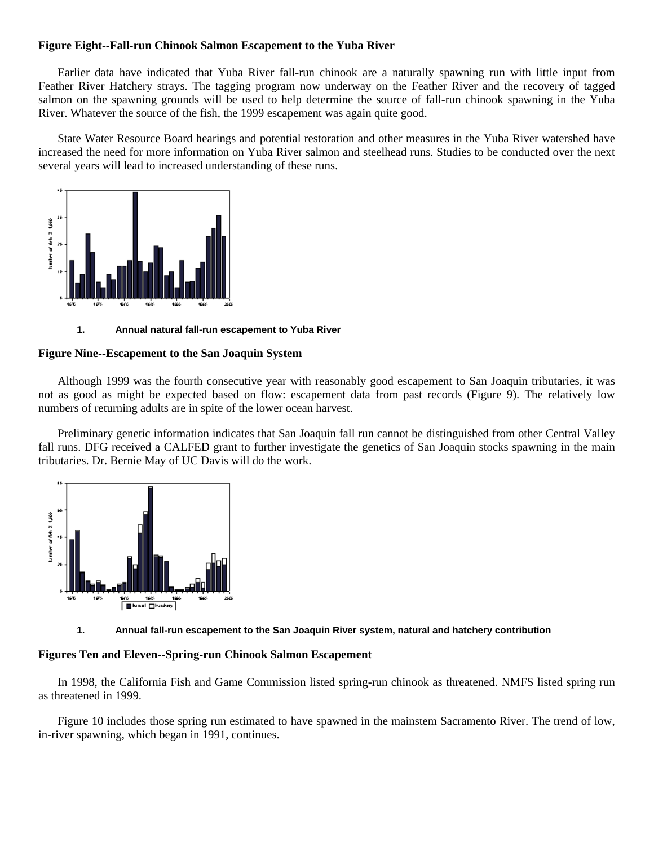### **Figure Eight--Fall-run Chinook Salmon Escapement to the Yuba River**

Earlier data have indicated that Yuba River fall-run chinook are a naturally spawning run with little input from Feather River Hatchery strays. The tagging program now underway on the Feather River and the recovery of tagged salmon on the spawning grounds will be used to help determine the source of fall-run chinook spawning in the Yuba River. Whatever the source of the fish, the 1999 escapement was again quite good.

State Water Resource Board hearings and potential restoration and other measures in the Yuba River watershed have increased the need for more information on Yuba River salmon and steelhead runs. Studies to be conducted over the next several years will lead to increased understanding of these runs.



**1. Annual natural fall-run escapement to Yuba River** 

### **Figure Nine--Escapement to the San Joaquin System**

Although 1999 was the fourth consecutive year with reasonably good escapement to San Joaquin tributaries, it was not as good as might be expected based on flow: escapement data from past records (Figure 9). The relatively low numbers of returning adults are in spite of the lower ocean harvest.

Preliminary genetic information indicates that San Joaquin fall run cannot be distinguished from other Central Valley fall runs. DFG received a CALFED grant to further investigate the genetics of San Joaquin stocks spawning in the main tributaries. Dr. Bernie May of UC Davis will do the work.



#### **1. Annual fall-run escapement to the San Joaquin River system, natural and hatchery contribution**

### **Figures Ten and Eleven--Spring-run Chinook Salmon Escapement**

In 1998, the California Fish and Game Commission listed spring-run chinook as threatened. NMFS listed spring run as threatened in 1999.

Figure 10 includes those spring run estimated to have spawned in the mainstem Sacramento River. The trend of low, in-river spawning, which began in 1991, continues.